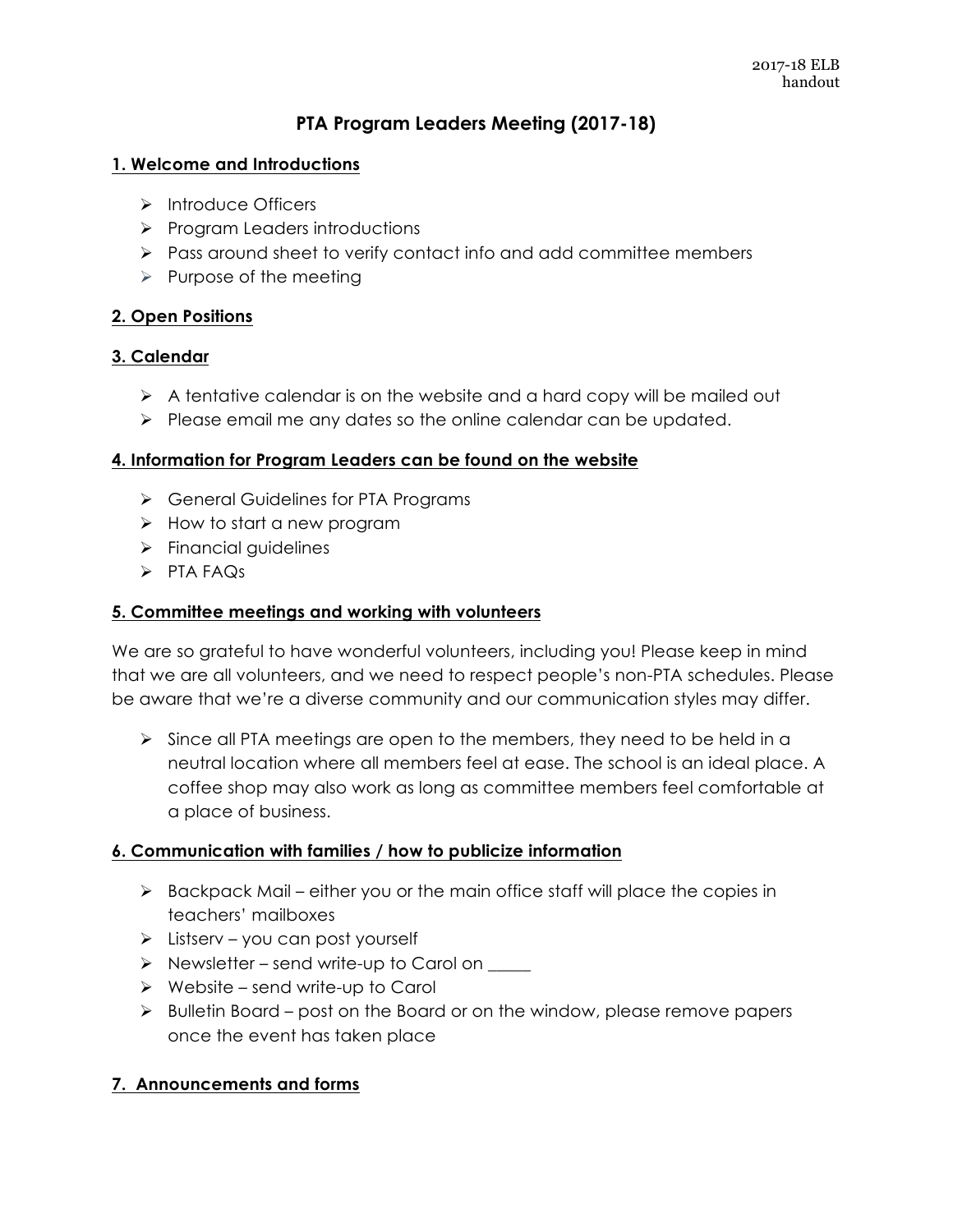# **PTA Program Leaders Meeting (2017-18)**

#### **1. Welcome and Introductions**

- > Introduce Officers
- $\triangleright$  Program Leaders introductions
- $\triangleright$  Pass around sheet to verify contact info and add committee members
- $\triangleright$  Purpose of the meeting

## **2. Open Positions**

### **3. Calendar**

- $\triangleright$  A tentative calendar is on the website and a hard copy will be mailed out
- $\triangleright$  Please email me any dates so the online calendar can be updated.

#### **4. Information for Program Leaders can be found on the website**

- > General Guidelines for PTA Programs
- $\triangleright$  How to start a new program
- $\triangleright$  Financial guidelines
- $\triangleright$  PTA FAQs

### **5. Committee meetings and working with volunteers**

We are so grateful to have wonderful volunteers, including you! Please keep in mind that we are all volunteers, and we need to respect people's non-PTA schedules. Please be aware that we're a diverse community and our communication styles may differ.

 $\triangleright$  Since all PTA meetings are open to the members, they need to be held in a neutral location where all members feel at ease. The school is an ideal place. A coffee shop may also work as long as committee members feel comfortable at a place of business.

#### **6. Communication with families / how to publicize information**

- $\triangleright$  Backpack Mail either you or the main office staff will place the copies in teachers' mailboxes
- $\triangleright$  Listserv you can post yourself
- $\triangleright$  Newsletter send write-up to Carol on
- $\triangleright$  Website send write-up to Carol
- $\triangleright$  Bulletin Board post on the Board or on the window, please remove papers once the event has taken place

## **7. Announcements and forms**